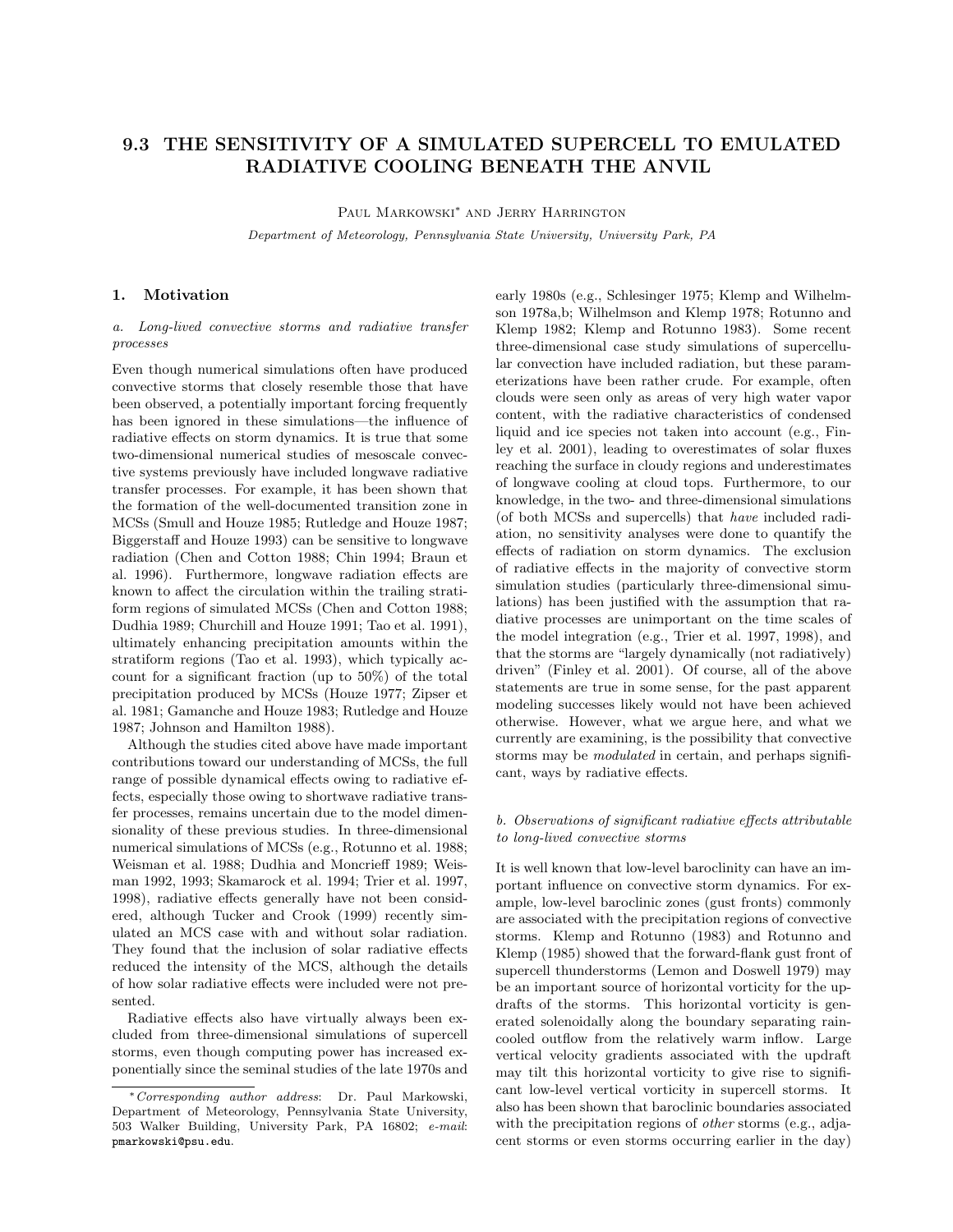# 9.3 THE SENSITIVITY OF A SIMULATED SUPERCELL TO EMULATED RADIATIVE COOLING BENEATH THE ANVIL

Paul Markowski<sup>∗</sup> and Jerry Harrington

Department of Meteorology, Pennsylvania State University, University Park, PA

### 1. Motivation

a. Long-lived convective storms and radiative transfer processes

Even though numerical simulations often have produced convective storms that closely resemble those that have been observed, a potentially important forcing frequently has been ignored in these simulations—the influence of radiative effects on storm dynamics. It is true that some two-dimensional numerical studies of mesoscale convective systems previously have included longwave radiative transfer processes. For example, it has been shown that the formation of the well-documented transition zone in MCSs (Smull and Houze 1985; Rutledge and Houze 1987; Biggerstaff and Houze 1993) can be sensitive to longwave radiation (Chen and Cotton 1988; Chin 1994; Braun et al. 1996). Furthermore, longwave radiation effects are known to affect the circulation within the trailing stratiform regions of simulated MCSs (Chen and Cotton 1988; Dudhia 1989; Churchill and Houze 1991; Tao et al. 1991), ultimately enhancing precipitation amounts within the stratiform regions (Tao et al. 1993), which typically account for a significant fraction (up to 50%) of the total precipitation produced by MCSs (Houze 1977; Zipser et al. 1981; Gamanche and Houze 1983; Rutledge and Houze 1987; Johnson and Hamilton 1988).

Although the studies cited above have made important contributions toward our understanding of MCSs, the full range of possible dynamical effects owing to radiative effects, especially those owing to shortwave radiative transfer processes, remains uncertain due to the model dimensionality of these previous studies. In three-dimensional numerical simulations of MCSs (e.g., Rotunno et al. 1988; Weisman et al. 1988; Dudhia and Moncrieff 1989; Weisman 1992, 1993; Skamarock et al. 1994; Trier et al. 1997, 1998), radiative effects generally have not been considered, although Tucker and Crook (1999) recently simulated an MCS case with and without solar radiation. They found that the inclusion of solar radiative effects reduced the intensity of the MCS, although the details of how solar radiative effects were included were not presented.

Radiative effects also have virtually always been excluded from three-dimensional simulations of supercell storms, even though computing power has increased exponentially since the seminal studies of the late 1970s and

early 1980s (e.g., Schlesinger 1975; Klemp and Wilhelmson 1978a,b; Wilhelmson and Klemp 1978; Rotunno and Klemp 1982; Klemp and Rotunno 1983). Some recent three-dimensional case study simulations of supercellular convection have included radiation, but these parameterizations have been rather crude. For example, often clouds were seen only as areas of very high water vapor content, with the radiative characteristics of condensed liquid and ice species not taken into account (e.g., Finley et al. 2001), leading to overestimates of solar fluxes reaching the surface in cloudy regions and underestimates of longwave cooling at cloud tops. Furthermore, to our knowledge, in the two- and three-dimensional simulations (of both MCSs and supercells) that have included radiation, no sensitivity analyses were done to quantify the effects of radiation on storm dynamics. The exclusion of radiative effects in the majority of convective storm simulation studies (particularly three-dimensional simulations) has been justified with the assumption that radiative processes are unimportant on the time scales of the model integration (e.g., Trier et al. 1997, 1998), and that the storms are "largely dynamically (not radiatively) driven" (Finley et al. 2001). Of course, all of the above statements are true in some sense, for the past apparent modeling successes likely would not have been achieved otherwise. However, what we argue here, and what we currently are examining, is the possibility that convective storms may be *modulated* in certain, and perhaps significant, ways by radiative effects.

### b. Observations of significant radiative effects attributable to long-lived convective storms

It is well known that low-level baroclinity can have an important influence on convective storm dynamics. For example, low-level baroclinic zones (gust fronts) commonly are associated with the precipitation regions of convective storms. Klemp and Rotunno (1983) and Rotunno and Klemp (1985) showed that the forward-flank gust front of supercell thunderstorms (Lemon and Doswell 1979) may be an important source of horizontal vorticity for the updrafts of the storms. This horizontal vorticity is generated solenoidally along the boundary separating raincooled outflow from the relatively warm inflow. Large vertical velocity gradients associated with the updraft may tilt this horizontal vorticity to give rise to significant low-level vertical vorticity in supercell storms. It also has been shown that baroclinic boundaries associated with the precipitation regions of *other* storms (e.g., adjacent storms or even storms occurring earlier in the day)

<sup>∗</sup>Corresponding author address: Dr. Paul Markowski, Department of Meteorology, Pennsylvania State University, 503 Walker Building, University Park, PA 16802; e-mail: pmarkowski@psu.edu.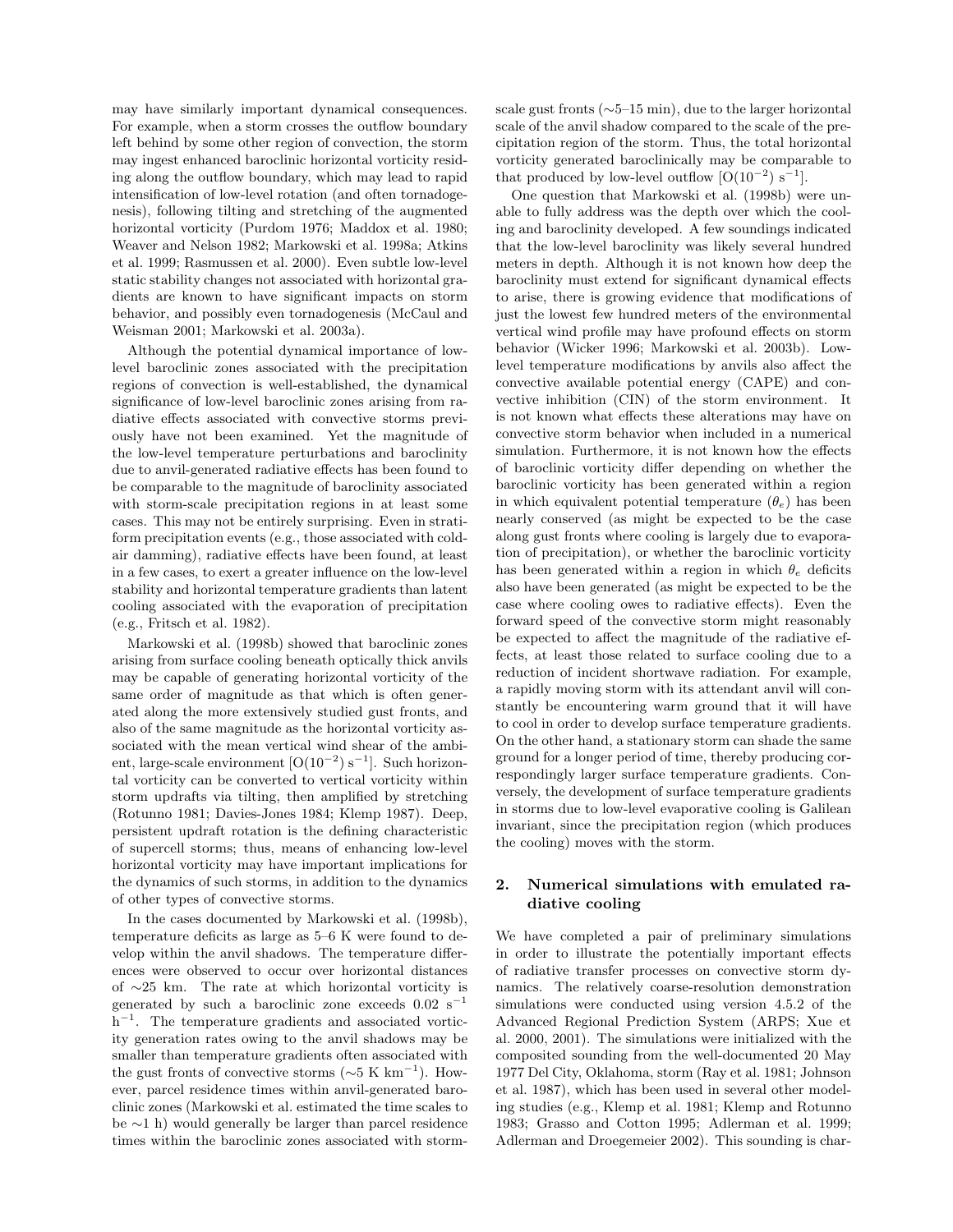may have similarly important dynamical consequences. For example, when a storm crosses the outflow boundary left behind by some other region of convection, the storm may ingest enhanced baroclinic horizontal vorticity residing along the outflow boundary, which may lead to rapid intensification of low-level rotation (and often tornadogenesis), following tilting and stretching of the augmented horizontal vorticity (Purdom 1976; Maddox et al. 1980; Weaver and Nelson 1982; Markowski et al. 1998a; Atkins et al. 1999; Rasmussen et al. 2000). Even subtle low-level static stability changes not associated with horizontal gradients are known to have significant impacts on storm behavior, and possibly even tornadogenesis (McCaul and Weisman 2001; Markowski et al. 2003a).

Although the potential dynamical importance of lowlevel baroclinic zones associated with the precipitation regions of convection is well-established, the dynamical significance of low-level baroclinic zones arising from radiative effects associated with convective storms previously have not been examined. Yet the magnitude of the low-level temperature perturbations and baroclinity due to anvil-generated radiative effects has been found to be comparable to the magnitude of baroclinity associated with storm-scale precipitation regions in at least some cases. This may not be entirely surprising. Even in stratiform precipitation events (e.g., those associated with coldair damming), radiative effects have been found, at least in a few cases, to exert a greater influence on the low-level stability and horizontal temperature gradients than latent cooling associated with the evaporation of precipitation (e.g., Fritsch et al. 1982).

Markowski et al. (1998b) showed that baroclinic zones arising from surface cooling beneath optically thick anvils may be capable of generating horizontal vorticity of the same order of magnitude as that which is often generated along the more extensively studied gust fronts, and also of the same magnitude as the horizontal vorticity associated with the mean vertical wind shear of the ambient, large-scale environment  $[O(10^{-2}) s^{-1}]$ . Such horizontal vorticity can be converted to vertical vorticity within storm updrafts via tilting, then amplified by stretching (Rotunno 1981; Davies-Jones 1984; Klemp 1987). Deep, persistent updraft rotation is the defining characteristic of supercell storms; thus, means of enhancing low-level horizontal vorticity may have important implications for the dynamics of such storms, in addition to the dynamics of other types of convective storms.

In the cases documented by Markowski et al. (1998b), temperature deficits as large as 5–6 K were found to develop within the anvil shadows. The temperature differences were observed to occur over horizontal distances of ∼25 km. The rate at which horizontal vorticity is generated by such a baroclinic zone exceeds  $0.02 \text{ s}^{-1}$ h<sup>-1</sup>. The temperature gradients and associated vorticity generation rates owing to the anvil shadows may be smaller than temperature gradients often associated with the gust fronts of convective storms ( $\sim$ 5 K km<sup>-1</sup>). However, parcel residence times within anvil-generated baroclinic zones (Markowski et al. estimated the time scales to be ∼1 h) would generally be larger than parcel residence times within the baroclinic zones associated with stormscale gust fronts (∼5–15 min), due to the larger horizontal scale of the anvil shadow compared to the scale of the precipitation region of the storm. Thus, the total horizontal vorticity generated baroclinically may be comparable to that produced by low-level outflow  $[O(10^{-2}) s^{-1}]$ .

One question that Markowski et al. (1998b) were unable to fully address was the depth over which the cooling and baroclinity developed. A few soundings indicated that the low-level baroclinity was likely several hundred meters in depth. Although it is not known how deep the baroclinity must extend for significant dynamical effects to arise, there is growing evidence that modifications of just the lowest few hundred meters of the environmental vertical wind profile may have profound effects on storm behavior (Wicker 1996; Markowski et al. 2003b). Lowlevel temperature modifications by anvils also affect the convective available potential energy (CAPE) and convective inhibition (CIN) of the storm environment. It is not known what effects these alterations may have on convective storm behavior when included in a numerical simulation. Furthermore, it is not known how the effects of baroclinic vorticity differ depending on whether the baroclinic vorticity has been generated within a region in which equivalent potential temperature  $(\theta_e)$  has been nearly conserved (as might be expected to be the case along gust fronts where cooling is largely due to evaporation of precipitation), or whether the baroclinic vorticity has been generated within a region in which  $\theta_e$  deficits also have been generated (as might be expected to be the case where cooling owes to radiative effects). Even the forward speed of the convective storm might reasonably be expected to affect the magnitude of the radiative effects, at least those related to surface cooling due to a reduction of incident shortwave radiation. For example, a rapidly moving storm with its attendant anvil will constantly be encountering warm ground that it will have to cool in order to develop surface temperature gradients. On the other hand, a stationary storm can shade the same ground for a longer period of time, thereby producing correspondingly larger surface temperature gradients. Conversely, the development of surface temperature gradients in storms due to low-level evaporative cooling is Galilean invariant, since the precipitation region (which produces the cooling) moves with the storm.

## 2. Numerical simulations with emulated radiative cooling

We have completed a pair of preliminary simulations in order to illustrate the potentially important effects of radiative transfer processes on convective storm dynamics. The relatively coarse-resolution demonstration simulations were conducted using version 4.5.2 of the Advanced Regional Prediction System (ARPS; Xue et al. 2000, 2001). The simulations were initialized with the composited sounding from the well-documented 20 May 1977 Del City, Oklahoma, storm (Ray et al. 1981; Johnson et al. 1987), which has been used in several other modeling studies (e.g., Klemp et al. 1981; Klemp and Rotunno 1983; Grasso and Cotton 1995; Adlerman et al. 1999; Adlerman and Droegemeier 2002). This sounding is char-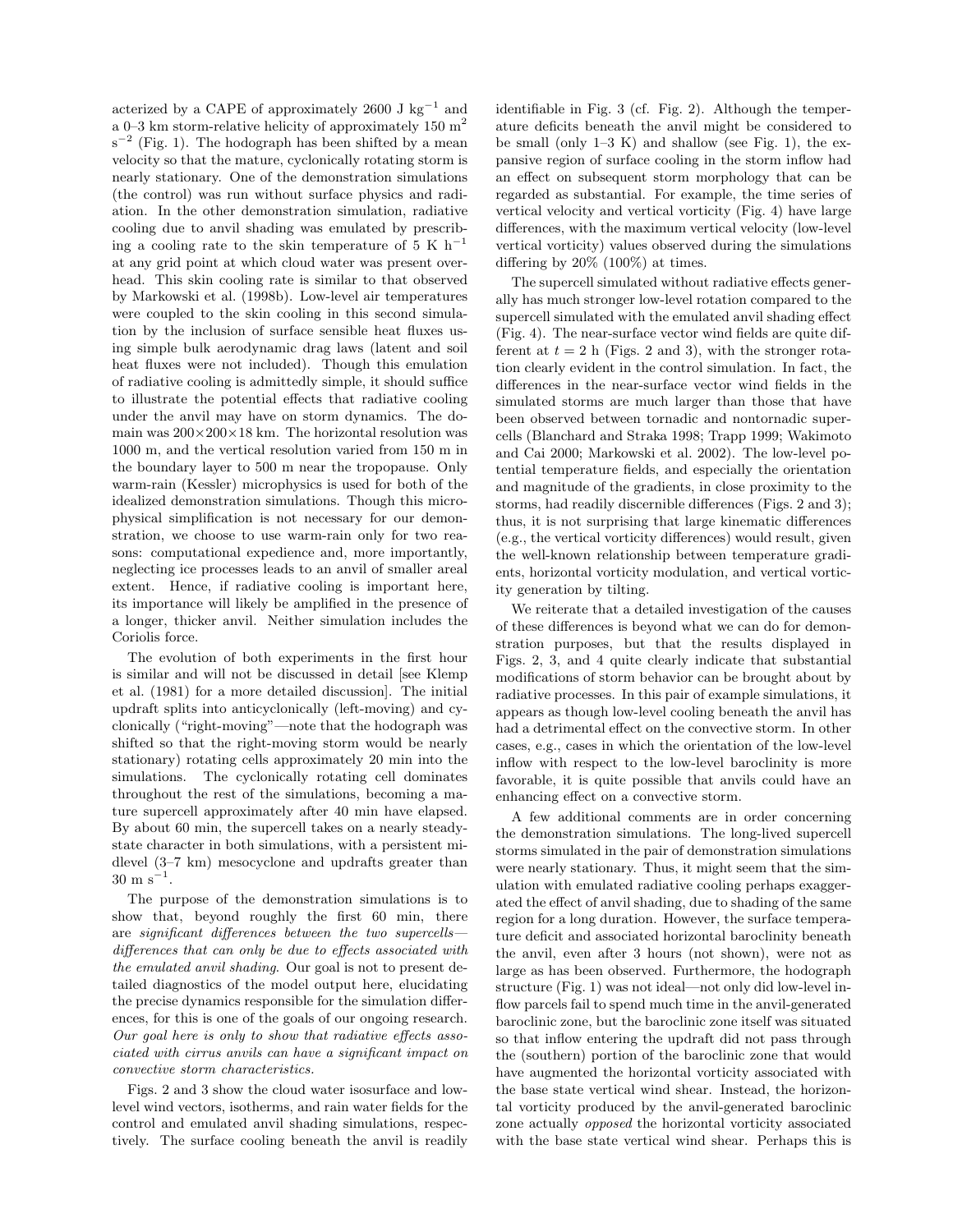acterized by a CAPE of approximately 2600 J  $\text{kg}^{-1}$  and a 0–3 km storm-relative helicity of approximately 150  $m<sup>2</sup>$  $s^{-2}$  (Fig. 1). The hodograph has been shifted by a mean velocity so that the mature, cyclonically rotating storm is nearly stationary. One of the demonstration simulations (the control) was run without surface physics and radiation. In the other demonstration simulation, radiative cooling due to anvil shading was emulated by prescribing a cooling rate to the skin temperature of 5 K  $h^{-1}$ at any grid point at which cloud water was present overhead. This skin cooling rate is similar to that observed by Markowski et al. (1998b). Low-level air temperatures were coupled to the skin cooling in this second simulation by the inclusion of surface sensible heat fluxes using simple bulk aerodynamic drag laws (latent and soil heat fluxes were not included). Though this emulation of radiative cooling is admittedly simple, it should suffice to illustrate the potential effects that radiative cooling under the anvil may have on storm dynamics. The domain was  $200\times200\times18$  km. The horizontal resolution was 1000 m, and the vertical resolution varied from 150 m in the boundary layer to 500 m near the tropopause. Only warm-rain (Kessler) microphysics is used for both of the idealized demonstration simulations. Though this microphysical simplification is not necessary for our demonstration, we choose to use warm-rain only for two reasons: computational expedience and, more importantly, neglecting ice processes leads to an anvil of smaller areal extent. Hence, if radiative cooling is important here, its importance will likely be amplified in the presence of a longer, thicker anvil. Neither simulation includes the Coriolis force.

The evolution of both experiments in the first hour is similar and will not be discussed in detail [see Klemp et al. (1981) for a more detailed discussion]. The initial updraft splits into anticyclonically (left-moving) and cyclonically ("right-moving"—note that the hodograph was shifted so that the right-moving storm would be nearly stationary) rotating cells approximately 20 min into the simulations. The cyclonically rotating cell dominates throughout the rest of the simulations, becoming a mature supercell approximately after 40 min have elapsed. By about 60 min, the supercell takes on a nearly steadystate character in both simulations, with a persistent midlevel (3–7 km) mesocyclone and updrafts greater than  $30 \text{ m s}^{-1}$ .

The purpose of the demonstration simulations is to show that, beyond roughly the first 60 min, there are significant differences between the two supercellsdifferences that can only be due to effects associated with the emulated anvil shading. Our goal is not to present detailed diagnostics of the model output here, elucidating the precise dynamics responsible for the simulation differences, for this is one of the goals of our ongoing research. Our goal here is only to show that radiative effects associated with cirrus anvils can have a significant impact on convective storm characteristics.

Figs. 2 and 3 show the cloud water isosurface and lowlevel wind vectors, isotherms, and rain water fields for the control and emulated anvil shading simulations, respectively. The surface cooling beneath the anvil is readily identifiable in Fig. 3 (cf. Fig. 2). Although the temperature deficits beneath the anvil might be considered to be small (only  $1-3 K$ ) and shallow (see Fig. 1), the expansive region of surface cooling in the storm inflow had an effect on subsequent storm morphology that can be regarded as substantial. For example, the time series of vertical velocity and vertical vorticity (Fig. 4) have large differences, with the maximum vertical velocity (low-level vertical vorticity) values observed during the simulations differing by 20% (100%) at times.

The supercell simulated without radiative effects generally has much stronger low-level rotation compared to the supercell simulated with the emulated anvil shading effect (Fig. 4). The near-surface vector wind fields are quite different at  $t = 2$  h (Figs. 2 and 3), with the stronger rotation clearly evident in the control simulation. In fact, the differences in the near-surface vector wind fields in the simulated storms are much larger than those that have been observed between tornadic and nontornadic supercells (Blanchard and Straka 1998; Trapp 1999; Wakimoto and Cai 2000; Markowski et al. 2002). The low-level potential temperature fields, and especially the orientation and magnitude of the gradients, in close proximity to the storms, had readily discernible differences (Figs. 2 and 3); thus, it is not surprising that large kinematic differences (e.g., the vertical vorticity differences) would result, given the well-known relationship between temperature gradients, horizontal vorticity modulation, and vertical vorticity generation by tilting.

We reiterate that a detailed investigation of the causes of these differences is beyond what we can do for demonstration purposes, but that the results displayed in Figs. 2, 3, and 4 quite clearly indicate that substantial modifications of storm behavior can be brought about by radiative processes. In this pair of example simulations, it appears as though low-level cooling beneath the anvil has had a detrimental effect on the convective storm. In other cases, e.g., cases in which the orientation of the low-level inflow with respect to the low-level baroclinity is more favorable, it is quite possible that anvils could have an enhancing effect on a convective storm.

A few additional comments are in order concerning the demonstration simulations. The long-lived supercell storms simulated in the pair of demonstration simulations were nearly stationary. Thus, it might seem that the simulation with emulated radiative cooling perhaps exaggerated the effect of anvil shading, due to shading of the same region for a long duration. However, the surface temperature deficit and associated horizontal baroclinity beneath the anvil, even after 3 hours (not shown), were not as large as has been observed. Furthermore, the hodograph structure (Fig. 1) was not ideal—not only did low-level inflow parcels fail to spend much time in the anvil-generated baroclinic zone, but the baroclinic zone itself was situated so that inflow entering the updraft did not pass through the (southern) portion of the baroclinic zone that would have augmented the horizontal vorticity associated with the base state vertical wind shear. Instead, the horizontal vorticity produced by the anvil-generated baroclinic zone actually opposed the horizontal vorticity associated with the base state vertical wind shear. Perhaps this is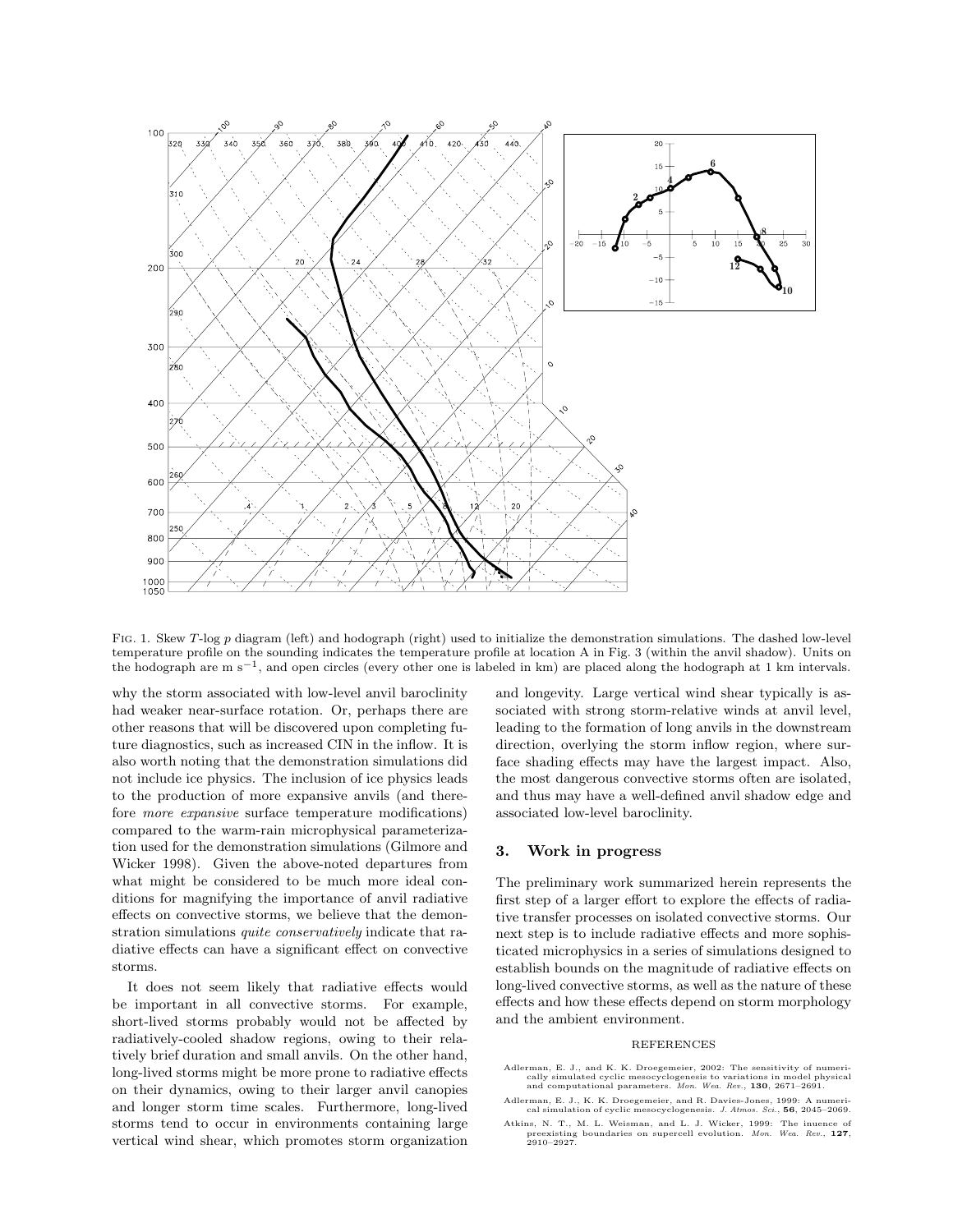

Fig. 1. Skew T-log p diagram (left) and hodograph (right) used to initialize the demonstration simulations. The dashed low-level temperature profile on the sounding indicates the temperature profile at location A in Fig. 3 (within the anvil shadow). Units on the hodograph are m s<sup>−1</sup>, and open circles (every other one is labeled in km) are placed along the hodograph at 1 km intervals.

why the storm associated with low-level anvil baroclinity had weaker near-surface rotation. Or, perhaps there are other reasons that will be discovered upon completing future diagnostics, such as increased CIN in the inflow. It is also worth noting that the demonstration simulations did not include ice physics. The inclusion of ice physics leads to the production of more expansive anvils (and therefore more expansive surface temperature modifications) compared to the warm-rain microphysical parameterization used for the demonstration simulations (Gilmore and Wicker 1998). Given the above-noted departures from what might be considered to be much more ideal conditions for magnifying the importance of anvil radiative effects on convective storms, we believe that the demonstration simulations *quite conservatively* indicate that radiative effects can have a significant effect on convective storms.

It does not seem likely that radiative effects would be important in all convective storms. For example, short-lived storms probably would not be affected by radiatively-cooled shadow regions, owing to their relatively brief duration and small anvils. On the other hand, long-lived storms might be more prone to radiative effects on their dynamics, owing to their larger anvil canopies and longer storm time scales. Furthermore, long-lived storms tend to occur in environments containing large vertical wind shear, which promotes storm organization and longevity. Large vertical wind shear typically is associated with strong storm-relative winds at anvil level, leading to the formation of long anvils in the downstream direction, overlying the storm inflow region, where surface shading effects may have the largest impact. Also, the most dangerous convective storms often are isolated, and thus may have a well-defined anvil shadow edge and associated low-level baroclinity.

### 3. Work in progress

The preliminary work summarized herein represents the first step of a larger effort to explore the effects of radiative transfer processes on isolated convective storms. Our next step is to include radiative effects and more sophisticated microphysics in a series of simulations designed to establish bounds on the magnitude of radiative effects on long-lived convective storms, as well as the nature of these effects and how these effects depend on storm morphology and the ambient environment.

#### REFERENCES

- Adlerman, E. J., and K. K. Droegemeier, 2002: The sensitivity of numerically simulated cyclic mesocyclogenesis to variations in model physical and computational parameters. Mon. Wea. Rev., 130, 2671–2691.
- Adlerman, E. J., K. K. Droegemeier, and R. Davies-Jones, 1999: A numerical simulation of cyclic mesocyclogenesis. J. Atmos. Sci., 56, 2045–2069.
- Atkins, N. T., M. L. Weisman, and L. J. Wicker, 1999: The inuence of preexisting boundaries on supercell evolution. *Mon. Wea. Rev.*, 127, 2910–2927.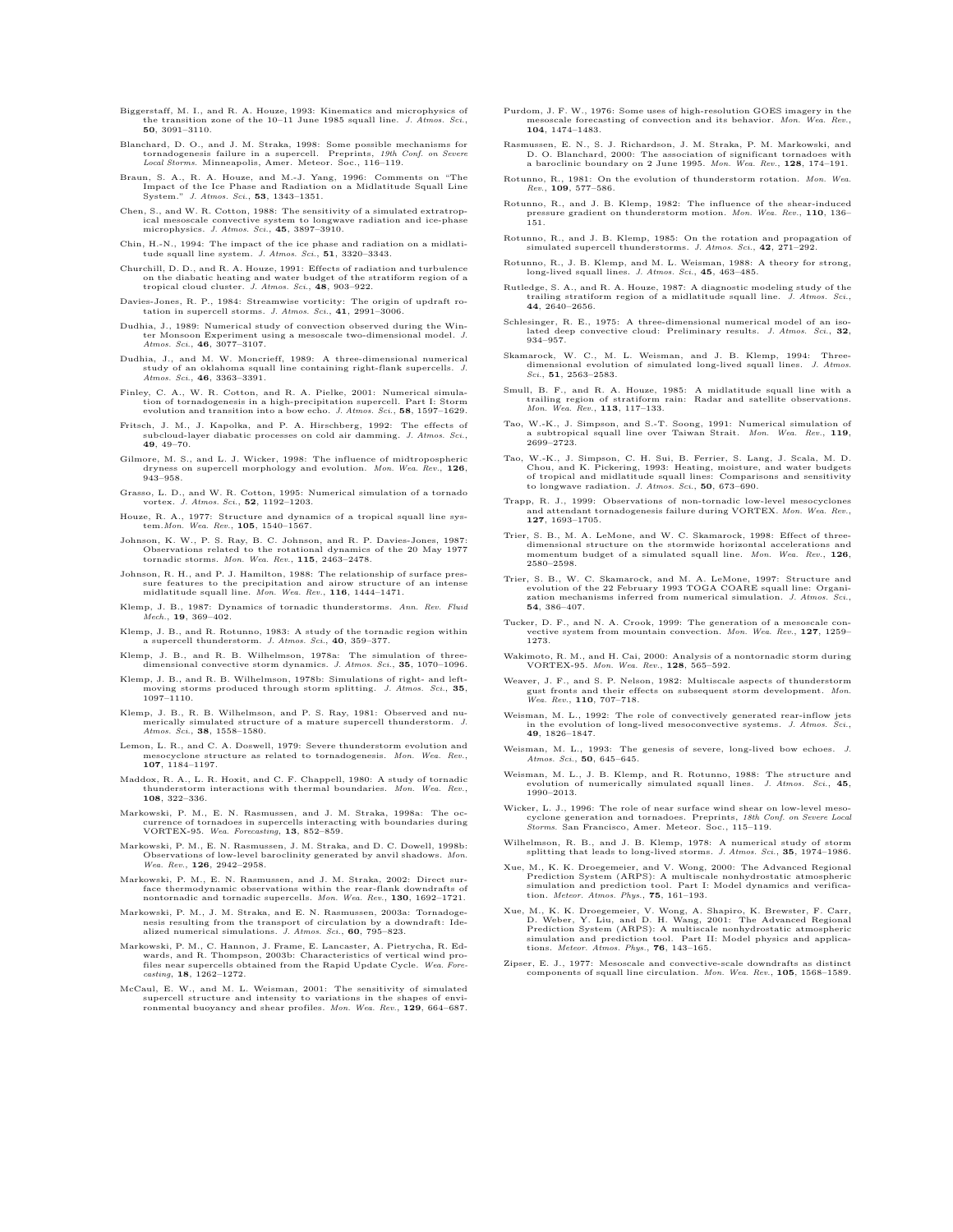- Biggerstaff, M. I., and R. A. Houze, 1993: Kinematics and microphysics of the transition zone of the 10–11 June 1985 squall line. J. Atmos. Sci., 50, 3091–3110.
- Blanchard, D. O., and J. M. Straka, 1998: Some possible mechanisms for<br>tornadogenesis failure in a supercell. Preprints, 19th Conf. on Severe<br>Local Storms. Minneapolis, Amer. Meteor. Soc., 116–119.
- Braun, S. A., R. A. Houze, and M.-J. Yang, 1996: Comments on "The Impact of the Ice Phase and Radiation on a Midlatitude Squall Line System." J. Atmos. Sci., 53, 1343–1351.
- Chen, S., and W. R. Cotton, 1988: The sensitivity of a simulated extratropical mesoscale convective system to longwave radiation and ice-phase<br>microphysics. J. Atmos. Sci., **45**, 3897–3910.
- Chin, H.-N., 1994: The impact of the ice phase and radiation on a midlatitude squall line system. *J. Atmos. Sci.*, **51**, 3320–3343.
- Churchill, D. D., and R. A. Houze, 1991: Effects of radiation and turbulence on the diabatic heating and water budget of the stratiform region of a<br>tropical cloud cluster. J. Atmos. Sci., 48, 903–922.
- Davies-Jones, R. P., 1984: Streamwise vorticity: The origin of updraft rotation in supercell storms. J. Atmos. Sci.,  $41$ , 2991-3006.
- Dudhia, J., 1989: Numerical study of convection observed during the Winter Monsoon Experiment using a mesoscale two-dimensional model. *J.*<br>Atmos. Sci., **46**, 3077–3107.
- Dudhia, J., and M. W. Moncrieff, 1989: A three-dimensional numerical study of an oklahoma squall line containing right-flank supercells. *J.*<br>Atmos. Sci., 46, 3363–3391.
- Finley, C. A., W. R. Cotton, and R. A. Pielke, 2001: Numerical simulation supercell. Part I: Storm<br>too of tornadogenesis in a high-precipitation supercell. Part I: Stormadogenesis<br>evolution and transition into a bow echo.
- Fritsch, J. M., J. Kapolka, and P. A. Hirschberg, 1992: The effects of subcloud-layer diabatic processes on cold air damming. J. Atmos. Sci., subcloud-la<br>**49**, 49–70.
- Gilmore, M. S., and L. J. Wicker, 1998: The influence of midtropospheric dryness on supercell morphology and evolution. Mon. Wea. Rev., 126, 943–958.
- Grasso, L. D., and W. R. Cotton, 1995: Numerical simulation of a tornado vortex. J. Atmos. Sci., 52, 1192–1203.
- Houze, R. A., 1977: Structure and dynamics of a tropical squall line sys-tem.Mon. Wea. Rev., 105, 1540–1567.
- Johnson, K. W., P. S. Ray, B. C. Johnson, and R. P. Davies-Jones, 1987:<br>Observations related to the rotational dynamics of the 20 May 1977<br>tornadic storms. Mon. Wea. Rev., 115, 2463–2478.
- Johnson, R. H., and P. J. Hamilton, 1988: The relationship of surface pressure features to the precipitation and airow structure of an intense midlatitude squall line. Mon. Wea. Rev., 116, 1444-1471.
- Klemp, J. B., 1987: Dynamics of tornadic thunderstorms. Ann. Rev. Fluid Mech., 19, 369–402.
- Klemp, J. B., and R. Rotunno, 1983: A study of the tornadic region within a supercell thunderstorm. *J. Atmos. Sci.*, **40**, 359-377.
- Klemp, J. B., and R. B. Wilhelmson, 1978a: The simulation of three-<br>dimensional convective storm dynamics. J. Atmos. Sci., 35, 1070-1096.
- Klemp, J. B., and R. B. Wilhelmson, 1978b: Simulations of right- and leftorms produced through storm splitting. J. Atmos. Sci., 35, moving sto<br>1097–1110.
- Klemp, J. B., R. B. Wilhelmson, and P. S. Ray, 1981: Observed and nu-merically simulated structure of a mature supercell thunderstorm. J. Atmos. Sci., 38, 1558-1580.
- Lemon, L. R., and C. A. Doswell, 1979: Severe thunderstorm evolution and et in Boswen, 1970; Severe diametersion evolution and structure as related to tornadogenesis. Mon. Wea. Rev., 107, 1184–1197.
- Maddox, R. A., L. R. Hoxit, and C. F. Chappell, 1980: A study of tornadic thunderstorm interactions with thermal boundaries. Mon. Wea. Rev., 108, 322–336.
- Markowski, P. M., E. N. Rasmussen, and J. M. Straka, 1998a: The oc-currence of tornadoes in supercells interacting with boundaries during VORTEX-95. Wea. Forecasting, 13, 852–859.
- Markowski, P. M., E. N. Rasmussen, J. M. Straka, and D. C. Dowell, 1998b: Observations of low-level baroclinity generated by anvil shadows. Mon. Wea. Rev., 126, 2942–2958.
- Markowski, P. M., E. N. Rasmussen, and J. M. Straka, 2002: Direct surface thermodynamic observations within the rear-flank downdrafts nontornadic and tornadic supercells. Mon. Wea. Rev., 130, 1692-1721.
- Markowski, P. M., J. M. Straka, and E. N. Rasmussen, 2003a: Tornadogenesis resulting from the transport of circulation by a downdraft: Ide-<br>alized numerical simulations. J. Atmos. Sci., 60, 795–823.
- Markowski, P. M., C. Hannon, J. Frame, E. Lancaster, A. Pietrycha, R. Edwards, and R. Thompson, 2003b: Characteristics of vertical wind pro-<br>files near supercells obtained from the Rapid Update Cycle. Wea. Fore-<br>casting, 18, 1262–1272.
- McCaul, E. W., and M. L. Weisman, 2001: The sensitivity of simulated supercell structure and intensity to variations in the shapes of environmental buoyancy and shear profiles. Mon. Wea. Rev., 129, 664–687.
- Purdom, J. F. W., 1976: Some uses of high-resolution GOES imagery in the scale forecasting of convection and its behavior. Mon. Wea. Rev., 104, 1474–1483.
- Rasmussen, E. N., S. J. Richardson, J. M. Straka, P. M. Markowski, and D. O. Blanchard, 2000: The association of significant tornadoes with a baroclinic boundary on 2 June 1995. Mon. Wea. Rev., 128, 174–191.
- Rotunno, R., 1981: On the evolution of thunderstorm rotation. Mon. Wea. Rev., 109, 577–586.
- Rotunno, R., and J. B. Klemp, 1982: The influence of the shear-induced pressure gradient on thunderstorm motion. Mon. Wea. Rev., 110, 136– 151.
- Rotunno, R., and J. B. Klemp, 1985: On the rotation and propagation of simulated supercell thunderstorms. J. Atmos. Sci., 42,  $271-292$ .
- Rotunno, R., J. B. Klemp, and M. L. Weisman, 1988: A theory for strong, long-lived squall lines. J. Atmos. Sci., 45, 463–485.
- Rutledge, S. A., and R. A. Houze, 1987: A diagnostic modeling study of the trailing stratiform region of a midlatitude squall line. J. Atmos. Sci., 44, 2640–2656.
- Schlesinger, R. E., 1975: A three-dimensional numerical model of an isolated deep convective cloud: Preliminary results. J. Atmos. Sci., 32, 934–957.
- Skamarock, W. C., M. L. Weisman, and J. B. Klemp, 1994: Three-<br>dimensional evolution of simulated long-lived squall lines. J. Atmos.<br>Sci., 51, 2563–2583.
- Smull, B. F., and R. A. Houze, 1985: A midlatitude squall line with a trailing region of stratiform rain: Radar and satellite observations. Mon. Wea. Rev., 113, 117–133.
- Tao, W.-K., J. Simpson, and S.-T. Soong, 1991: Numerical simulation of subtropical squall line over Taiwan Strait. Mon. Wea. Rev., 119, 2699–2723.
- Tao, W.-K., J. Simpson, C. H. Sui, B. Ferrier, S. Lang, J. Scala, M. D. Chou, and K. Pickering, 1993: Heating, moisture, and water budgets of tropical and midlatitude squall lines: Comparisons and sensitivity to longwave radiation. J. Atmos. Sci., 50, 673–690.
- Trapp, R. J., 1999: Observations of non-tornadic low-level mesocyclo and attendant tornadogenesis failure during VORTEX. Mon. Wea. Rev., 127, 1693–1705.
- Trier, S. B., M. A. LeMone, and W. C. Skamarock, 1998: Effect of three-<br>dimensional structure on the stormwide horizontal accelerations and dimensional structure on the stormwide horizontal accelerations and momentum budget of a simulated squall line. *Mon. Wea. Rev.*, 126, 2580–2598.
- Trier, S. B., W. C. Skamarock, and M. A. LeMone, 1997: Structure and evolution of the 22 February 1993 TOGA COARE squall line: Organization mechanisms inferred from numerical simulation. J. Atmos. 54, 386–407.
- Tucker, D. F., and N. A. Crook, 1999: The generation of a mesoscale con-<br>vective system from mountain convection. Mon. Wea. Rev., 127, 1259-1273.
- Wakimoto, R. M., and H. Cai, 2000: Analysis of a nontornadic storm during<br>VORTEX-95. Mon. Wea. Rev., 128, 565-592.
- Weaver, J. F., and S. P. Nelson, 1982: Multiscale aspects of thunderstorm gust fronts and their effects on subsequent storm development. Mon. Wea. Rev., 110, 707-718.
- Weisman, M. L., 1992: The role of convectively generated rear-inflow jets<br>in the evolution of long-lived mesoconvective systems. J. Atmos. Sci., 49, 1826–1847.
- Weisman, M. L., 1993: The genesis of severe, long-lived bow echoes. J. Atmos. Sci., 50, 645-645.
- Weisman, M. L., J. B. Klemp, and R. Rotunno, 1988: The structure and evolution of numerically simulated squall lines. *J. Atmos. Sci.*, 45, 1990–2013.
- Wicker, L. J., 1996: The role of near surface wind shear on low-level meso-<br>cyclone generation and tornadoes. Preprints, 18th Conf. on Severe Local Storms. San Francisco, Amer. Meteor. Soc., 115–119.
- Wilhelmson, R. B., and J. B. Klemp, 1978: A numerical study of storm splitting that leads to long-lived storms. J. Atmos. Sci., 35, 1974–1986.
- Xue, M., K. K. Droegemeier, and V. Wong, 2000: The Advanced Regional Prediction System (ARPS): A multiscale nonhydrostatic atmospheric simulation and prediction tool. Part I: Model dynamics and verifica-tion. Meteor. Atmos. Phys., 75, 161–193.
- Xue, M., K. K. Droegemeier, V. Wong, A. Shapiro, K. Brewster, F. Carr, D. Weber, Y. Liu, and D. H. Wang, 2001: The Advanced Regional Prediction System (ARPS): A multiscale nonhydrostatic atmospheric simulation and prediction tool. Part II: Model physics and applications. *Meteor. Atmos. Phys.*, **76**, 143-165.
- Zipser, E. J., 1977: Mesoscale and convective-scale downdrafts as distinct components of squall line circulation. Mon. Wea. Rev., 105, 1568–1589.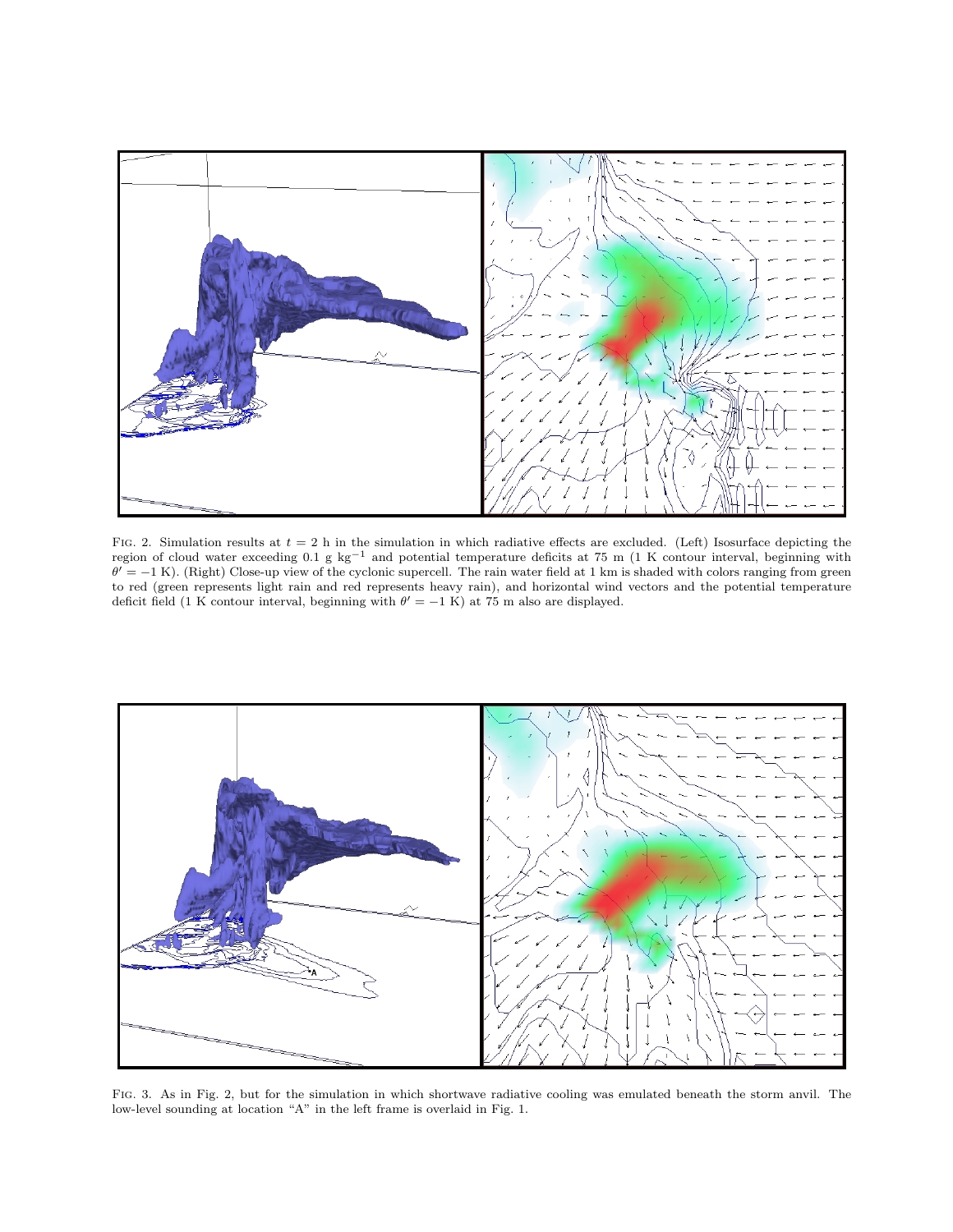

FIG. 2. Simulation results at  $t = 2$  h in the simulation in which radiative effects are excluded. (Left) Isosurface depicting the region of cloud water exceeding 0.1 g kg<sup>-1</sup> and potential temperature deficits at 75 m (1 K contour interval, beginning with  $\theta' = -1$  K). (Right) Close-up view of the cyclonic supercell. The rain water field at 1 km is shaded with colors ranging from green to red (green represents light rain and red represents heavy rain), and horizontal wind vectors and the potential temperature deficit field (1 K contour interval, beginning with  $\theta' = -1$  K) at 75 m also are displayed.



Fig. 3. As in Fig. 2, but for the simulation in which shortwave radiative cooling was emulated beneath the storm anvil. The low-level sounding at location "A" in the left frame is overlaid in Fig. 1.